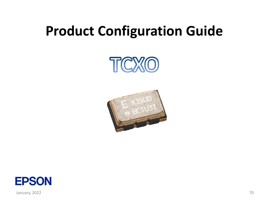# **Product Configuration Guide**





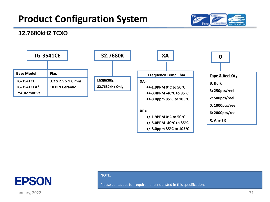



#### **32.7680kHZ TCXO**





January, 2022 **71** 

#### **NOTE:**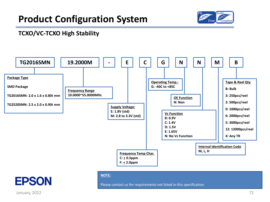

### **TCXO/VC-TCXO High Stability**





#### **NOTE:**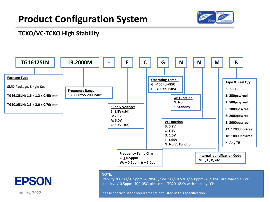

### **TCXO/VC-TCXO High Stability**



#### **NOTE:**

Stability "CG" (+/-0.5ppm -40/85C) , "WH" (+/- 0.5 & +/-5.0ppm -40/105C) are available. For stability +/-0.5ppm -40/105C, please see TG2016SKA with stability "CH"

Please contact us for requirements not listed in this specification.

January, 2022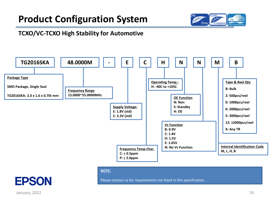

### **TCXO/VC-TCXO High Stability for Automotive**



#### **NOTE:**

Please contact us for requirements not listed in this specification.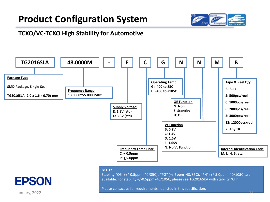

### **TCXO/VC-TCXO High Stability for Automotive**



#### **NOTE:**

Stability "CG" (+/-0.5ppm -40/85C) , "PG" (+/-5ppm -40/85C), "PH" (+/-5.0ppm -40/105C) are available. For stability +/-0.5ppm -40/105C, please see TG2016SKA with stability "CH"

Please contact us for requirements not listed in this specification.

January, 2022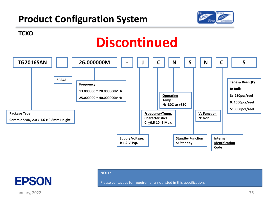

**TCXO**

# **Discontinued**



#### **NOTE:**

Please contact us for requirements not listed in this specification.

January, 2022 **76**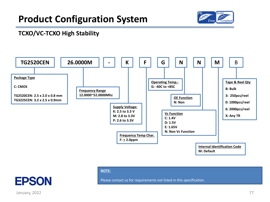

### **TCXO/VC-TCXO High Stability**



#### **NOTE:**

Please contact us for requirements not listed in this specification.

January, 2022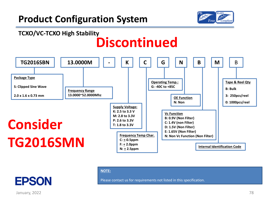

## **TCXO/VC-TCXO High Stability**

# **Discontinued**



#### **NOTE:**

Please contact us for requirements not listed in this specification.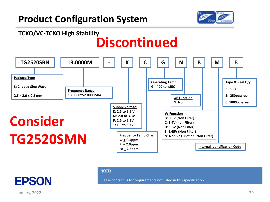

## **TCXO/VC-TCXO High Stability**

# **Discontinued**



#### **NOTE:**

Please contact us for requirements not listed in this specification.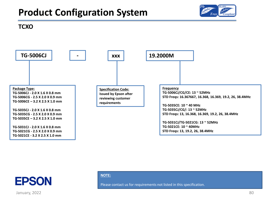

#### **TCXO**





January, 2022 and the set of the set of the set of the set of the set of the set of the set of the set of the set of the set of the set of the set of the set of the set of the set of the set of the set of the set of the se

#### **NOTE:**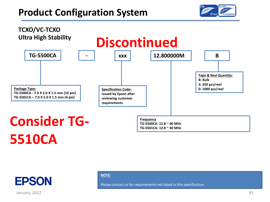





January, 2022

**NOTE:**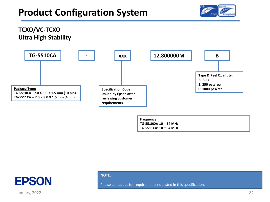

### **TCXO/VC-TCXO Ultra High Stability**





January, 2022

#### **NOTE:**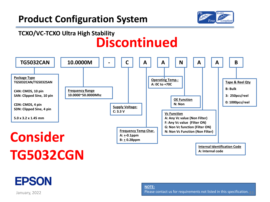

## **TCXO/VC-TCXO Ultra High Stability Discontinued**

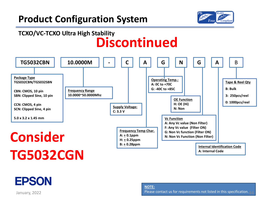

## **TCXO/VC-TCXO Ultra High Stability Discontinued**